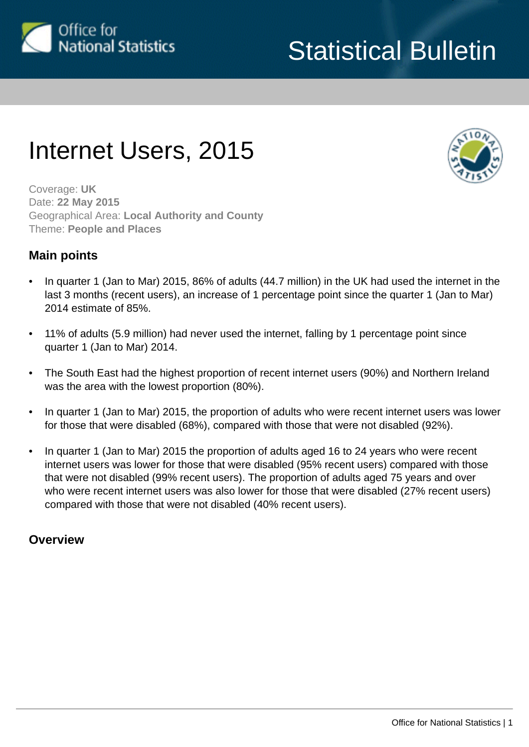

# Internet Users, 2015



Coverage: **UK** Date: **22 May 2015** Geographical Area: **Local Authority and County** Theme: **People and Places**

# **Main points**

- In quarter 1 (Jan to Mar) 2015, 86% of adults (44.7 million) in the UK had used the internet in the last 3 months (recent users), an increase of 1 percentage point since the quarter 1 (Jan to Mar) 2014 estimate of 85%.
- 11% of adults (5.9 million) had never used the internet, falling by 1 percentage point since quarter 1 (Jan to Mar) 2014.
- The South East had the highest proportion of recent internet users (90%) and Northern Ireland was the area with the lowest proportion (80%).
- In quarter 1 (Jan to Mar) 2015, the proportion of adults who were recent internet users was lower for those that were disabled (68%), compared with those that were not disabled (92%).
- In quarter 1 (Jan to Mar) 2015 the proportion of adults aged 16 to 24 years who were recent internet users was lower for those that were disabled (95% recent users) compared with those that were not disabled (99% recent users). The proportion of adults aged 75 years and over who were recent internet users was also lower for those that were disabled (27% recent users) compared with those that were not disabled (40% recent users).

# **Overview**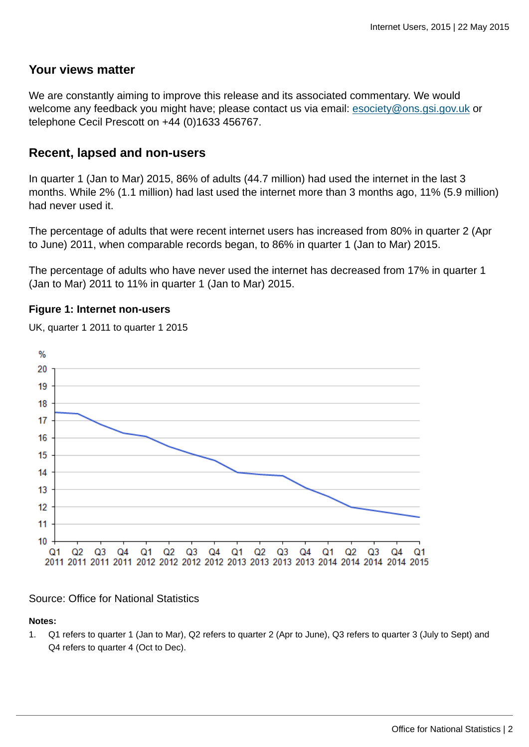### **Your views matter**

We are constantly aiming to improve this release and its associated commentary. We would welcome any feedback you might have; please contact us via email: [esociety@ons.gsi.gov.uk](mailto:esociety@ons.gsi.gov.uk) or telephone Cecil Prescott on +44 (0)1633 456767.

### **Recent, lapsed and non-users**

In quarter 1 (Jan to Mar) 2015, 86% of adults (44.7 million) had used the internet in the last 3 months. While 2% (1.1 million) had last used the internet more than 3 months ago, 11% (5.9 million) had never used it.

The percentage of adults that were recent internet users has increased from 80% in quarter 2 (Apr to June) 2011, when comparable records began, to 86% in quarter 1 (Jan to Mar) 2015.

The percentage of adults who have never used the internet has decreased from 17% in quarter 1 (Jan to Mar) 2011 to 11% in quarter 1 (Jan to Mar) 2015.

### **Figure 1: Internet non-users**





### Source: Office for National Statistics

#### **Notes:**

1. Q1 refers to quarter 1 (Jan to Mar), Q2 refers to quarter 2 (Apr to June), Q3 refers to quarter 3 (July to Sept) and Q4 refers to quarter 4 (Oct to Dec).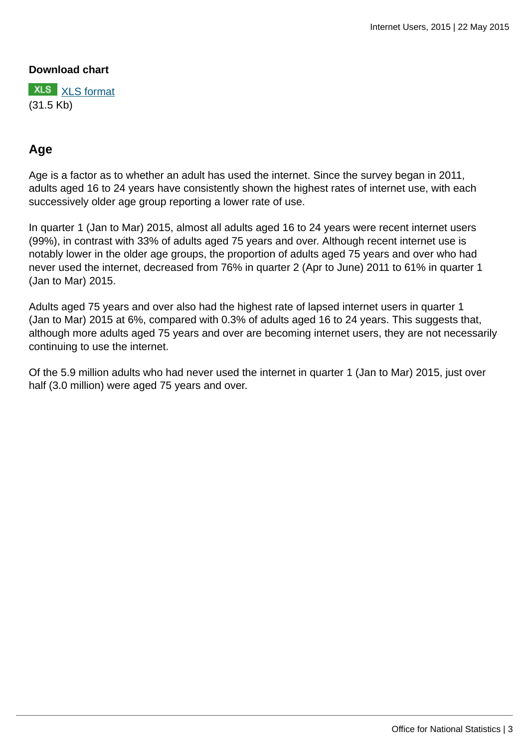### **Download chart**

**XLS** [XLS format](http://wasppreview.ons.statistics.gov.uk:80/ons/rel/rdit2/internet-users/2015/chd-ia-figure-1.xls) (31.5 Kb)

# **Age**

Age is a factor as to whether an adult has used the internet. Since the survey began in 2011, adults aged 16 to 24 years have consistently shown the highest rates of internet use, with each successively older age group reporting a lower rate of use.

In quarter 1 (Jan to Mar) 2015, almost all adults aged 16 to 24 years were recent internet users (99%), in contrast with 33% of adults aged 75 years and over. Although recent internet use is notably lower in the older age groups, the proportion of adults aged 75 years and over who had never used the internet, decreased from 76% in quarter 2 (Apr to June) 2011 to 61% in quarter 1 (Jan to Mar) 2015.

Adults aged 75 years and over also had the highest rate of lapsed internet users in quarter 1 (Jan to Mar) 2015 at 6%, compared with 0.3% of adults aged 16 to 24 years. This suggests that, although more adults aged 75 years and over are becoming internet users, they are not necessarily continuing to use the internet.

Of the 5.9 million adults who had never used the internet in quarter 1 (Jan to Mar) 2015, just over half (3.0 million) were aged 75 years and over.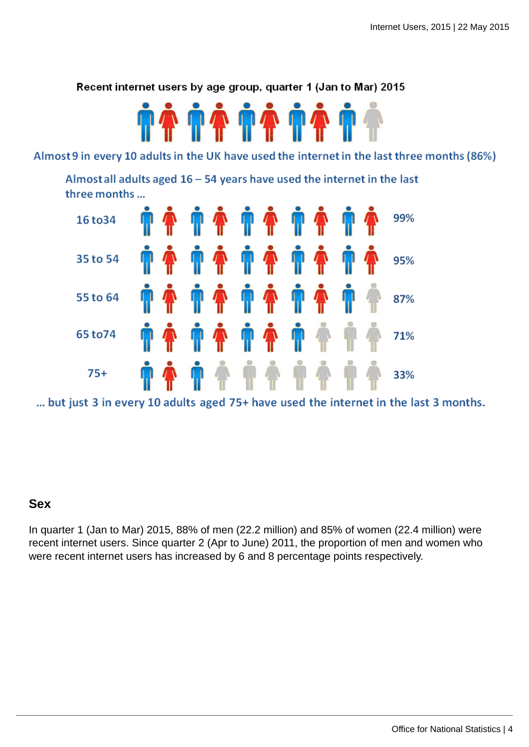Recent internet users by age group, quarter 1 (Jan to Mar) 2015



Almost 9 in every 10 adults in the UK have used the internet in the last three months (86%)

Almost all adults aged  $16 - 54$  years have used the internet in the last three months ...



... but just 3 in every 10 adults aged 75+ have used the internet in the last 3 months.

### **Sex**

In quarter 1 (Jan to Mar) 2015, 88% of men (22.2 million) and 85% of women (22.4 million) were recent internet users. Since quarter 2 (Apr to June) 2011, the proportion of men and women who were recent internet users has increased by 6 and 8 percentage points respectively.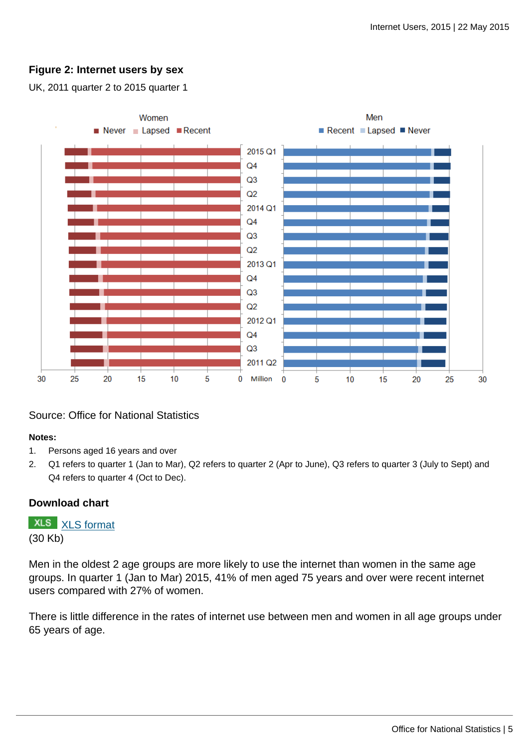### **Figure 2: Internet users by sex**

UK, 2011 quarter 2 to 2015 quarter 1



### Source: Office for National Statistics

#### **Notes:**

- 1. Persons aged 16 years and over
- 2. Q1 refers to quarter 1 (Jan to Mar), Q2 refers to quarter 2 (Apr to June), Q3 refers to quarter 3 (July to Sept) and Q4 refers to quarter 4 (Oct to Dec).

### **Download chart**

**XLS** [XLS format](http://wasppreview.ons.statistics.gov.uk:80/ons/rel/rdit2/internet-users/2015/chd-ia-figure-2.xls) (30 Kb)

Men in the oldest 2 age groups are more likely to use the internet than women in the same age groups. In quarter 1 (Jan to Mar) 2015, 41% of men aged 75 years and over were recent internet users compared with 27% of women.

There is little difference in the rates of internet use between men and women in all age groups under 65 years of age.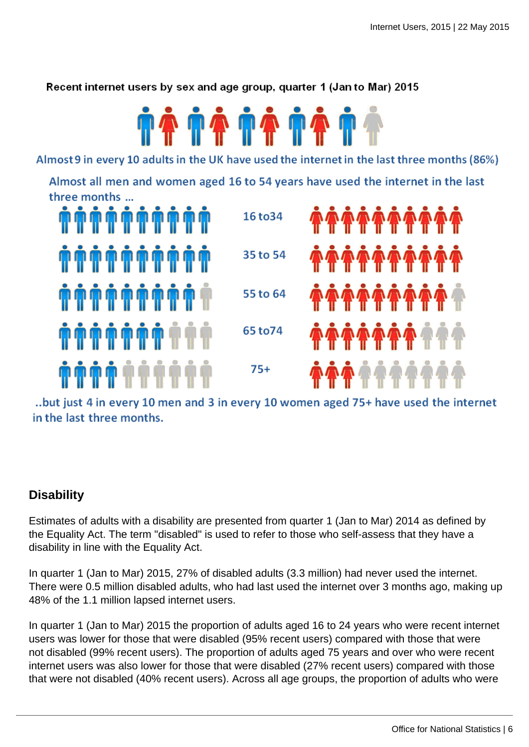Recent internet users by sex and age group, quarter 1 (Jan to Mar) 2015



Almost 9 in every 10 adults in the UK have used the internet in the last three months (86%)

Almost all men and women aged 16 to 54 years have used the internet in the last three months ...



..but just 4 in every 10 men and 3 in every 10 women aged 75+ have used the internet in the last three months.

# **Disability**

Estimates of adults with a disability are presented from quarter 1 (Jan to Mar) 2014 as defined by the Equality Act. The term "disabled" is used to refer to those who self-assess that they have a disability in line with the Equality Act.

In quarter 1 (Jan to Mar) 2015, 27% of disabled adults (3.3 million) had never used the internet. There were 0.5 million disabled adults, who had last used the internet over 3 months ago, making up 48% of the 1.1 million lapsed internet users.

In quarter 1 (Jan to Mar) 2015 the proportion of adults aged 16 to 24 years who were recent internet users was lower for those that were disabled (95% recent users) compared with those that were not disabled (99% recent users). The proportion of adults aged 75 years and over who were recent internet users was also lower for those that were disabled (27% recent users) compared with those that were not disabled (40% recent users). Across all age groups, the proportion of adults who were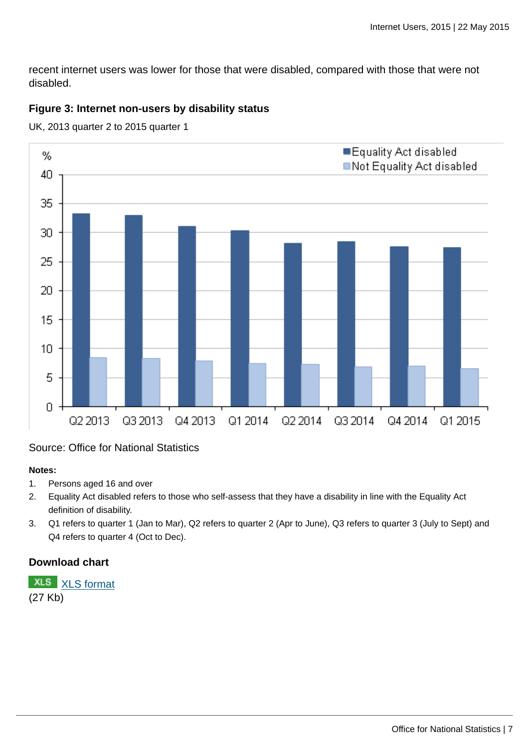recent internet users was lower for those that were disabled, compared with those that were not disabled.

### **Figure 3: Internet non-users by disability status**



UK, 2013 quarter 2 to 2015 quarter 1

### Source: Office for National Statistics

#### **Notes:**

- 1. Persons aged 16 and over
- 2. Equality Act disabled refers to those who self-assess that they have a disability in line with the Equality Act definition of disability.
- 3. Q1 refers to quarter 1 (Jan to Mar), Q2 refers to quarter 2 (Apr to June), Q3 refers to quarter 3 (July to Sept) and Q4 refers to quarter 4 (Oct to Dec).

### **Download chart**



(27 Kb)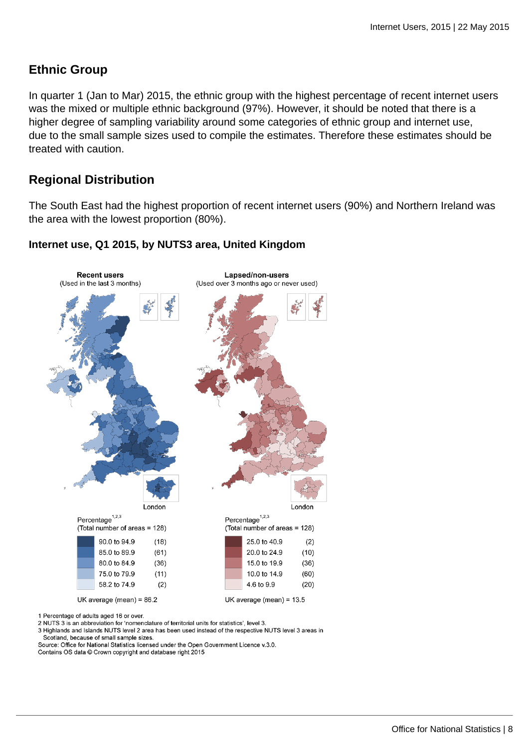# **Ethnic Group**

In quarter 1 (Jan to Mar) 2015, the ethnic group with the highest percentage of recent internet users was the mixed or multiple ethnic background (97%). However, it should be noted that there is a higher degree of sampling variability around some categories of ethnic group and internet use, due to the small sample sizes used to compile the estimates. Therefore these estimates should be treated with caution.

# **Regional Distribution**

The South East had the highest proportion of recent internet users (90%) and Northern Ireland was the area with the lowest proportion (80%).



### **Internet use, Q1 2015, by NUTS3 area, United Kingdom**

1 Percentage of adults aged 16 or over.

2 NUTS 3 is an abbreviation for 'nomenclature of territorial units for statistics', level 3.

3 Highlands and Islands NUTS level 2 area has been used instead of the respective NUTS level 3 areas in Scotland, because of small sample sizes.

Source: Office for National Statistics licensed under the Open Government Licence v.3.0.

Contains OS data @ Crown copyright and database right 2015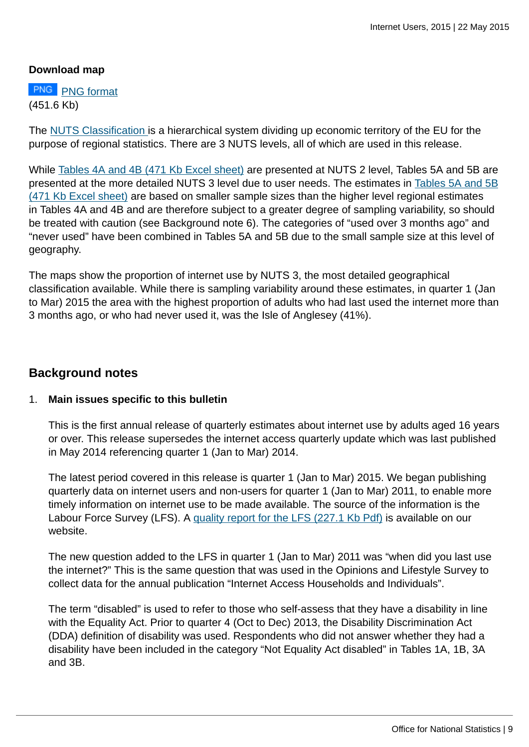### **Download map**

**PNG** [PNG format](http://wasppreview.ons.statistics.gov.uk:80/ons/rel/rdit2/internet-users/2015/map-ia-download.png) (451.6 Kb)

The [NUTS Classification](http://wasppreview.ons.statistics.gov.uk:80/ons/guide-method/geography/beginner-s-guide/european/index.html) is a hierarchical system dividing up economic territory of the EU for the purpose of regional statistics. There are 3 NUTS levels, all of which are used in this release.

While [Tables 4A and 4B \(471 Kb Excel sheet\)](http://wasppreview.ons.statistics.gov.uk:80/ons/rel/rdit2/internet-users/2015/rft-ia-tables.xls) are presented at NUTS 2 level, Tables 5A and 5B are presented at the more detailed NUTS 3 level due to user needs. The estimates in [Tables 5A and 5B](http://wasppreview.ons.statistics.gov.uk:80/ons/rel/rdit2/internet-users/2015/rft-ia-tables.xls) [\(471 Kb Excel sheet\)](http://wasppreview.ons.statistics.gov.uk:80/ons/rel/rdit2/internet-users/2015/rft-ia-tables.xls) are based on smaller sample sizes than the higher level regional estimates in Tables 4A and 4B and are therefore subject to a greater degree of sampling variability, so should be treated with caution (see Background note 6). The categories of "used over 3 months ago" and "never used" have been combined in Tables 5A and 5B due to the small sample size at this level of geography.

The maps show the proportion of internet use by NUTS 3, the most detailed geographical classification available. While there is sampling variability around these estimates, in quarter 1 (Jan to Mar) 2015 the area with the highest proportion of adults who had last used the internet more than 3 months ago, or who had never used it, was the Isle of Anglesey (41%).

### **Background notes**

### 1. **Main issues specific to this bulletin**

This is the first annual release of quarterly estimates about internet use by adults aged 16 years or over. This release supersedes the internet access quarterly update which was last published in May 2014 referencing quarter 1 (Jan to Mar) 2014.

The latest period covered in this release is quarter 1 (Jan to Mar) 2015. We began publishing quarterly data on internet users and non-users for quarter 1 (Jan to Mar) 2011, to enable more timely information on internet use to be made available. The source of the information is the Labour Force Survey (LFS). A [quality report for the LFS \(227.1 Kb Pdf\)](http://wasppreview.ons.statistics.gov.uk:80/ons/guide-method/method-quality/quality/quality-information/social-statistics/quality-and-methodology-information-for-the-labour-force-survey--lfs-.pdf) is available on our website.

The new question added to the LFS in quarter 1 (Jan to Mar) 2011 was "when did you last use the internet?" This is the same question that was used in the Opinions and Lifestyle Survey to collect data for the annual publication "Internet Access Households and Individuals".

The term "disabled" is used to refer to those who self-assess that they have a disability in line with the Equality Act. Prior to quarter 4 (Oct to Dec) 2013, the Disability Discrimination Act (DDA) definition of disability was used. Respondents who did not answer whether they had a disability have been included in the category "Not Equality Act disabled" in Tables 1A, 1B, 3A and 3B.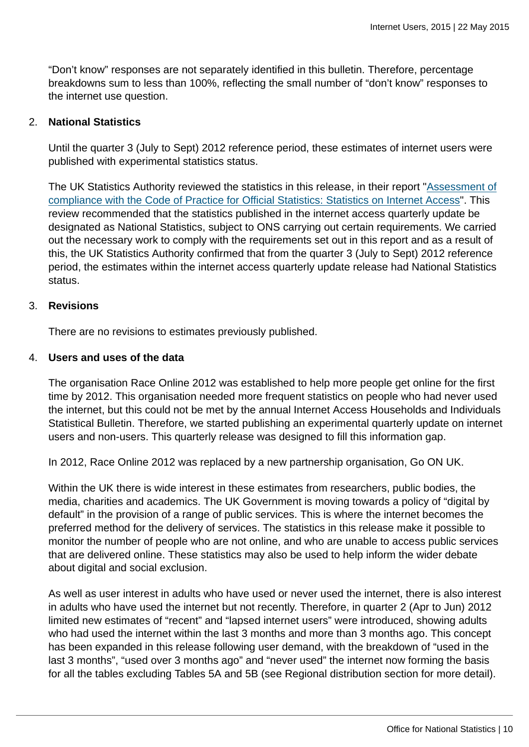"Don't know" responses are not separately identified in this bulletin. Therefore, percentage breakdowns sum to less than 100%, reflecting the small number of "don't know" responses to the internet use question.

#### 2. **National Statistics**

Until the quarter 3 (July to Sept) 2012 reference period, these estimates of internet users were published with experimental statistics status.

The UK Statistics Authority reviewed the statistics in this release, in their report "[Assessment of](http://wasppreview.ons.statistics.gov.uk:80/ons/external-links/stats-authority/uk-statistics-authority--assessment-of-compliance-with-the-code-of-practice-for-official-statistics--statistics-on-internet-access.html) [compliance with the Code of Practice for Official Statistics: Statistics on Internet Access](http://wasppreview.ons.statistics.gov.uk:80/ons/external-links/stats-authority/uk-statistics-authority--assessment-of-compliance-with-the-code-of-practice-for-official-statistics--statistics-on-internet-access.html)". This review recommended that the statistics published in the internet access quarterly update be designated as National Statistics, subject to ONS carrying out certain requirements. We carried out the necessary work to comply with the requirements set out in this report and as a result of this, the UK Statistics Authority confirmed that from the quarter 3 (July to Sept) 2012 reference period, the estimates within the internet access quarterly update release had National Statistics status.

#### 3. **Revisions**

There are no revisions to estimates previously published.

#### 4. **Users and uses of the data**

The organisation Race Online 2012 was established to help more people get online for the first time by 2012. This organisation needed more frequent statistics on people who had never used the internet, but this could not be met by the annual Internet Access Households and Individuals Statistical Bulletin. Therefore, we started publishing an experimental quarterly update on internet users and non-users. This quarterly release was designed to fill this information gap.

In 2012, Race Online 2012 was replaced by a new partnership organisation, Go ON UK.

Within the UK there is wide interest in these estimates from researchers, public bodies, the media, charities and academics. The UK Government is moving towards a policy of "digital by default" in the provision of a range of public services. This is where the internet becomes the preferred method for the delivery of services. The statistics in this release make it possible to monitor the number of people who are not online, and who are unable to access public services that are delivered online. These statistics may also be used to help inform the wider debate about digital and social exclusion.

As well as user interest in adults who have used or never used the internet, there is also interest in adults who have used the internet but not recently. Therefore, in quarter 2 (Apr to Jun) 2012 limited new estimates of "recent" and "lapsed internet users" were introduced, showing adults who had used the internet within the last 3 months and more than 3 months ago. This concept has been expanded in this release following user demand, with the breakdown of "used in the last 3 months", "used over 3 months ago" and "never used" the internet now forming the basis for all the tables excluding Tables 5A and 5B (see Regional distribution section for more detail).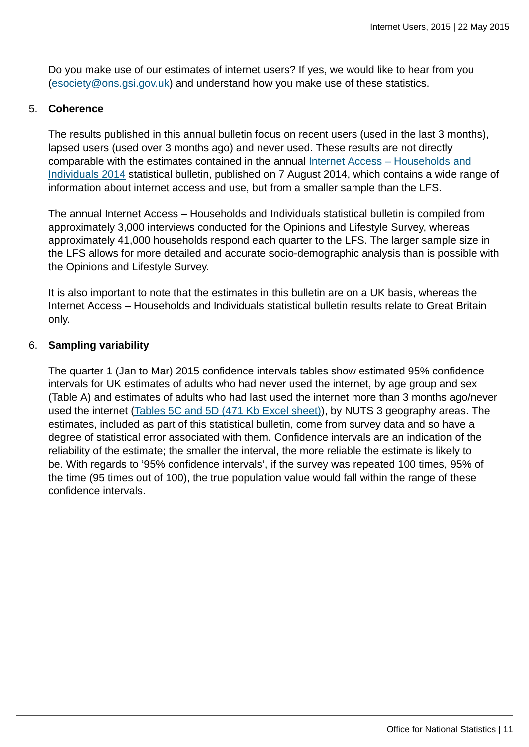Do you make use of our estimates of internet users? If yes, we would like to hear from you [\(esociety@ons.gsi.gov.uk](mailto:esociety@ons.gsi.gov.uk)) and understand how you make use of these statistics.

### 5. **Coherence**

The results published in this annual bulletin focus on recent users (used in the last 3 months), lapsed users (used over 3 months ago) and never used. These results are not directly comparable with the estimates contained in the annual [Internet Access – Households and](http://wasppreview.ons.statistics.gov.uk:80/ons/rel/rdit2/internet-access---households-and-individuals/2014/stb-ia-2014.html) [Individuals 2014](http://wasppreview.ons.statistics.gov.uk:80/ons/rel/rdit2/internet-access---households-and-individuals/2014/stb-ia-2014.html) statistical bulletin, published on 7 August 2014, which contains a wide range of information about internet access and use, but from a smaller sample than the LFS.

The annual Internet Access – Households and Individuals statistical bulletin is compiled from approximately 3,000 interviews conducted for the Opinions and Lifestyle Survey, whereas approximately 41,000 households respond each quarter to the LFS. The larger sample size in the LFS allows for more detailed and accurate socio-demographic analysis than is possible with the Opinions and Lifestyle Survey.

It is also important to note that the estimates in this bulletin are on a UK basis, whereas the Internet Access – Households and Individuals statistical bulletin results relate to Great Britain only.

### 6. **Sampling variability**

The quarter 1 (Jan to Mar) 2015 confidence intervals tables show estimated 95% confidence intervals for UK estimates of adults who had never used the internet, by age group and sex (Table A) and estimates of adults who had last used the internet more than 3 months ago/never used the internet [\(Tables 5C and 5D \(471 Kb Excel sheet\)](http://wasppreview.ons.statistics.gov.uk:80/ons/rel/rdit2/internet-users/2015/rft-ia-tables.xls)), by NUTS 3 geography areas. The estimates, included as part of this statistical bulletin, come from survey data and so have a degree of statistical error associated with them. Confidence intervals are an indication of the reliability of the estimate; the smaller the interval, the more reliable the estimate is likely to be. With regards to '95% confidence intervals', if the survey was repeated 100 times, 95% of the time (95 times out of 100), the true population value would fall within the range of these confidence intervals.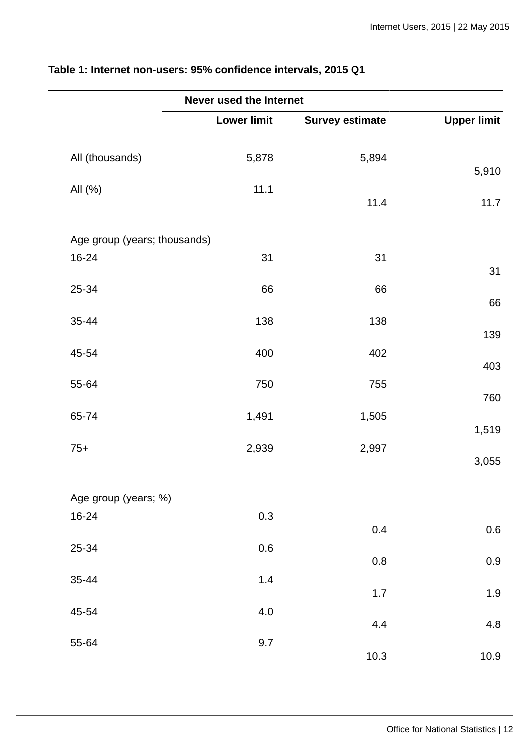|                              | Never used the Internet |                        |                    |
|------------------------------|-------------------------|------------------------|--------------------|
|                              | <b>Lower limit</b>      | <b>Survey estimate</b> | <b>Upper limit</b> |
| All (thousands)              | 5,878                   | 5,894                  | 5,910              |
| All (%)                      | 11.1                    | 11.4                   | 11.7               |
| Age group (years; thousands) |                         |                        |                    |
| 16-24                        | 31                      | 31                     | 31                 |
| 25-34                        | 66                      | 66                     | 66                 |
| 35-44                        | 138                     | 138                    | 139                |
| 45-54                        | 400                     | 402                    | 403                |
| 55-64                        | 750                     | 755                    | 760                |
| 65-74                        | 1,491                   | 1,505                  | 1,519              |
| $75+$                        | 2,939                   | 2,997                  | 3,055              |
| Age group (years; %)         |                         |                        |                    |
| 16-24                        | 0.3                     | 0.4                    | 0.6                |
| 25-34                        | 0.6                     | 0.8                    | 0.9                |
| 35-44                        | $1.4\,$                 | $1.7\,$                | 1.9                |
| 45-54                        | 4.0                     | 4.4                    | 4.8                |
| 55-64                        | 9.7                     | $10.3$                 | 10.9               |

# **Table 1: Internet non-users: 95% confidence intervals, 2015 Q1**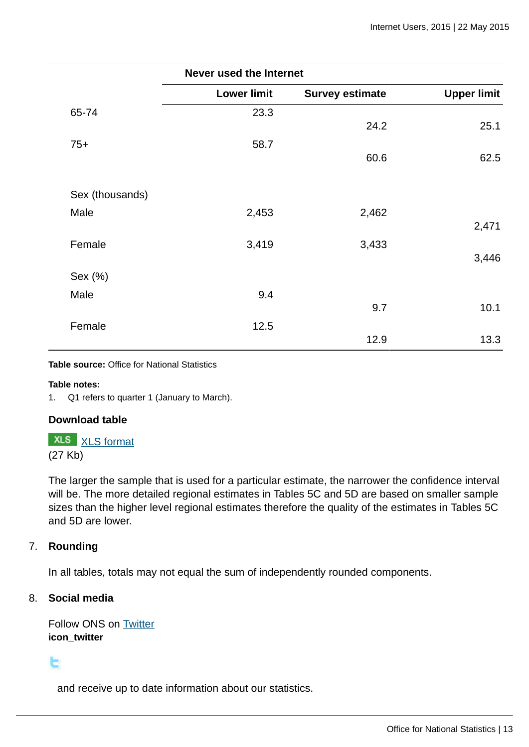|                 | <b>Never used the Internet</b> |                        |                    |
|-----------------|--------------------------------|------------------------|--------------------|
|                 | <b>Lower limit</b>             | <b>Survey estimate</b> | <b>Upper limit</b> |
| 65-74           | 23.3                           |                        |                    |
|                 |                                | 24.2                   | 25.1               |
| $75+$           | 58.7                           |                        |                    |
|                 |                                | 60.6                   | 62.5               |
|                 |                                |                        |                    |
| Sex (thousands) |                                |                        |                    |
| Male            | 2,453                          | 2,462                  |                    |
|                 |                                |                        | 2,471              |
| Female          | 3,419                          | 3,433                  |                    |
|                 |                                |                        | 3,446              |
| Sex (%)         |                                |                        |                    |
| Male            | 9.4                            |                        |                    |
|                 |                                | 9.7                    | 10.1               |
| Female          | 12.5                           |                        |                    |
|                 |                                | 12.9                   | 13.3               |

**Table source:** Office for National Statistics

**Table notes:**

1. Q1 refers to quarter 1 (January to March).

### **Download table**

**XLS** [XLS format](http://wasppreview.ons.statistics.gov.uk:80/ons/rel/rdit2/internet-users/2015/prt-ia-table-1.xls)

(27 Kb)

The larger the sample that is used for a particular estimate, the narrower the confidence interval will be. The more detailed regional estimates in Tables 5C and 5D are based on smaller sample sizes than the higher level regional estimates therefore the quality of the estimates in Tables 5C and 5D are lower.

### 7. **Rounding**

In all tables, totals may not equal the sum of independently rounded components.

### 8. **Social media**

Follow ONS on [Twitter](http://wasppreview.ons.statistics.gov.uk:80/ons/external-links/social-media/twitter.html) **icon\_twitter**

t.

and receive up to date information about our statistics.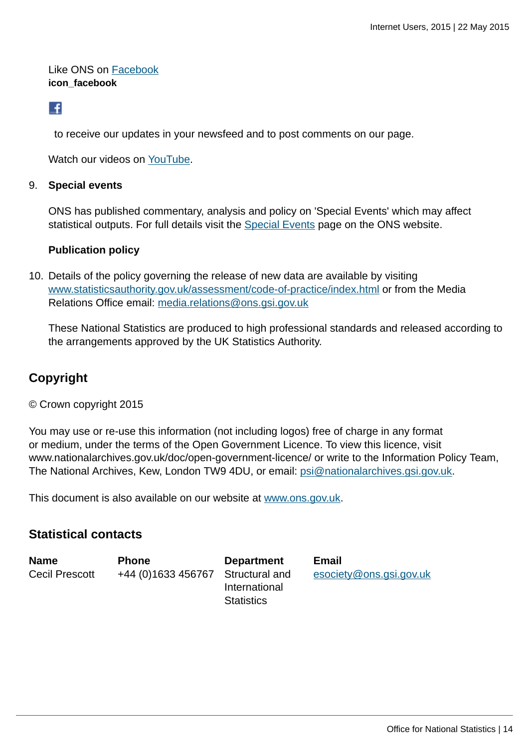Like ONS on [Facebook](http://wasppreview.ons.statistics.gov.uk:80/ons/external-links/social-media/index.html) **icon\_facebook**

# L.

to receive our updates in your newsfeed and to post comments on our page.

Watch our videos on [YouTube.](http://wasppreview.ons.statistics.gov.uk:80/ons/external-links/social-media/youtube.html)

### 9. **Special events**

ONS has published commentary, analysis and policy on 'Special Events' which may affect statistical outputs. For full details visit the [Special Events](http://wasppreview.ons.statistics.gov.uk:80/ons/guide-method/method-quality/general-methodology/special-events-group/index.html) page on the ONS website.

### **Publication policy**

10. Details of the policy governing the release of new data are available by visiting [www.statisticsauthority.gov.uk/assessment/code-of-practice/index.html](http://www.statisticsauthority.gov.uk/assessment/code-of-practice/index.html) or from the Media Relations Office email: [media.relations@ons.gsi.gov.uk](mailto:media.relations@ons.gsi.gov.uk)

These National Statistics are produced to high professional standards and released according to the arrangements approved by the UK Statistics Authority.

# **Copyright**

© Crown copyright 2015

You may use or re-use this information (not including logos) free of charge in any format or medium, under the terms of the Open Government Licence. To view this licence, visit www.nationalarchives.gov.uk/doc/open-government-licence/ or write to the Information Policy Team, The National Archives, Kew, London TW9 4DU, or email: [psi@nationalarchives.gsi.gov.uk](mailto:psi@nationalarchives.gsi.gov.uk).

This document is also available on our website at [www.ons.gov.uk.](http://www.ons.gov.uk/)

# **Statistical contacts**

| <b>Name</b>           | <b>Phone</b>                      | <b>Department</b>                  | Email                   |
|-----------------------|-----------------------------------|------------------------------------|-------------------------|
| <b>Cecil Prescott</b> | +44 (0)1633 456767 Structural and | International<br><b>Statistics</b> | esociety@ons.gsi.gov.uk |